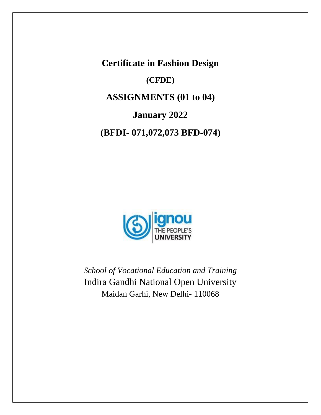**Certificate in Fashion Design**

**(CFDE)**

**ASSIGNMENTS (01 to 04)**

**January 2022**

**(BFDI- 071,072,073 BFD-074)**



*School of Vocational Education and Training*  Indira Gandhi National Open University Maidan Garhi, New Delhi- 110068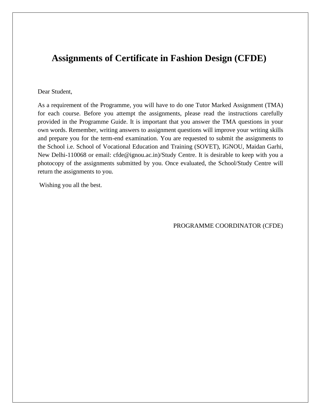# **Assignments of Certificate in Fashion Design (CFDE)**

#### Dear Student,

As a requirement of the Programme, you will have to do one Tutor Marked Assignment (TMA) for each course. Before you attempt the assignments, please read the instructions carefully provided in the Programme Guide. It is important that you answer the TMA questions in your own words. Remember, writing answers to assignment questions will improve your writing skills and prepare you for the term-end examination. You are requested to submit the assignments to the School i.e. School of Vocational Education and Training (SOVET), IGNOU, Maidan Garhi, New Delhi-110068 or email: cfde@ignou.ac.in)/Study Centre. It is desirable to keep with you a photocopy of the assignments submitted by you. Once evaluated, the School/Study Centre will return the assignments to you.

Wishing you all the best.

PROGRAMME COORDINATOR (CFDE)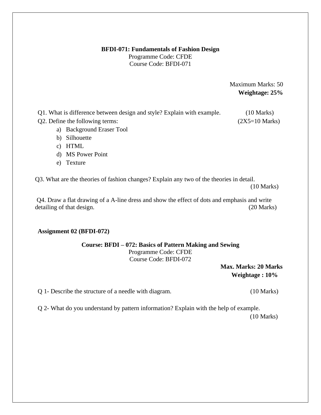#### **BFDI-071: Fundamentals of Fashion Design**

Programme Code: CFDE Course Code: BFDI-071

> Maximum Marks: 50 **Weightage: 25%**

Q1. What is difference between design and style? Explain with example. (10 Marks) Q2. Define the following terms:  $(2X5=10 \text{ Marks})$ 

- a) Background Eraser Tool
- b) Silhouette
- c) HTML
- d) MS Power Point
- e) Texture

Q3. What are the theories of fashion changes? Explain any two of the theories in detail.

(10 Marks)

Q4. Draw a flat drawing of a A-line dress and show the effect of dots and emphasis and write detailing of that design. (20 Marks)

## **Assignment 02 (BFDI-072)**

# **Course: BFDI – 072: Basics of Pattern Making and Sewing**

Programme Code: CFDE Course Code: BFDI-072

> **Max. Marks: 20 Marks Weightage : 10%**

Q 1- Describe the structure of a needle with diagram. (10 Marks)

Q 2- What do you understand by pattern information? Explain with the help of example. (10 Marks)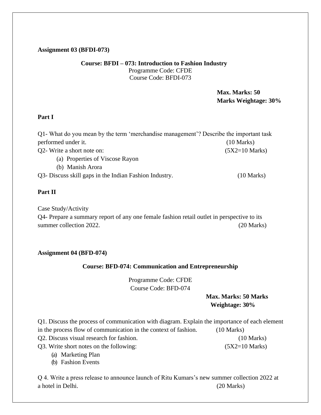## **Assignment 03 (BFDI-073)**

#### **Course: BFDI – 073: Introduction to Fashion Industry** Programme Code: CFDE Course Code: BFDI-073

 **Max. Marks: 50 Marks Weightage: 30%** 

## **Part I**

| Q1- What do you mean by the term 'merchandise management'? Describe the important task |                          |
|----------------------------------------------------------------------------------------|--------------------------|
| performed under it.                                                                    | $(10 \text{ Marks})$     |
| Q2- Write a short note on:                                                             | $(5X2=10 \text{ Marks})$ |
| (a) Properties of Viscose Rayon                                                        |                          |
| (b) Manish Arora                                                                       |                          |
| Q3- Discuss skill gaps in the Indian Fashion Industry.                                 | $(10 \text{ Marks})$     |

## **Part II**

Case Study/Activity

Q4- Prepare a summary report of any one female fashion retail outlet in perspective to its summer collection 2022. (20 Marks)

#### **Assignment 04 (BFD-074)**

## **Course: BFD-074: Communication and Entrepreneurship**

Programme Code: CFDE Course Code: BFD-074

# **Max. Marks: 50 Marks Weightage: 30%**

Q1. Discuss the process of communication with diagram. Explain the importance of each element in the process flow of communication in the context of fashion. (10 Marks) Q2. Discuss visual research for fashion. (10 Marks) Q3. Write short notes on the following:  $(5X2=10 \text{ Marks})$ 

(a) Marketing Plan

(b) Fashion Events

Q 4. Write a press release to announce launch of Ritu Kumars's new summer collection 2022 at a hotel in Delhi. (20 Marks)